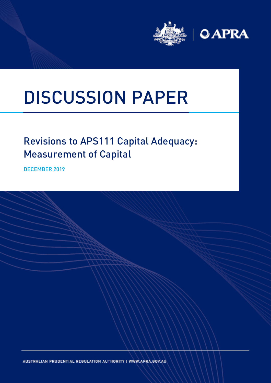

# DISCUSSION PAPER

## Revisions to APS111 Capital Adequacy: Measurement of Capital

DECEMBER 2019

AUSTRALIAN PRUDENTIAL REGULATION AUTHORITY | WWW.APRA.GOV.AU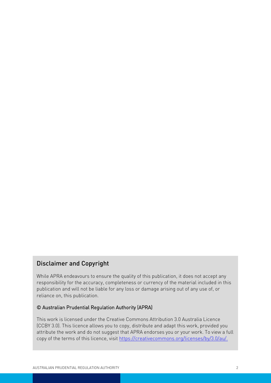## Disclaimer and Copyright

While APRA endeavours to ensure the quality of this publication, it does not accept any responsibility for the accuracy, completeness or currency of the material included in this publication and will not be liable for any loss or damage arising out of any use of, or reliance on, this publication.

## © Australian Prudential Regulation Authority (APRA)

This work is licensed under the Creative Commons Attribution 3.0 Australia Licence (CCBY 3.0). This licence allows you to copy, distribute and adapt this work, provided you attribute the work and do not suggest that APRA endorses you or your work. To view a full copy of the terms of this licence, visi[t https://creativecommons.org/licenses/by/3.0/au/.](https://creativecommons.org/licenses/by/3.0/au/)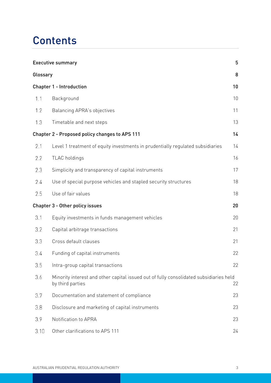## **Contents**

|          | 5<br><b>Executive summary</b>                                                                              |    |  |
|----------|------------------------------------------------------------------------------------------------------------|----|--|
| Glossary |                                                                                                            | 8  |  |
|          | <b>Chapter 1 - Introduction</b>                                                                            | 10 |  |
| 1.1      | Background                                                                                                 | 10 |  |
| 1.2      | <b>Balancing APRA's objectives</b>                                                                         | 11 |  |
| 1.3      | Timetable and next steps                                                                                   | 13 |  |
|          | Chapter 2 - Proposed policy changes to APS 111                                                             | 14 |  |
| 2.1      | Level 1 treatment of equity investments in prudentially regulated subsidiaries                             | 14 |  |
| 2.2      | TLAC holdings                                                                                              | 16 |  |
| 2.3      | Simplicity and transparency of capital instruments                                                         | 17 |  |
| 2.4      | Use of special purpose vehicles and stapled security structures                                            | 18 |  |
| 2.5      | Use of fair values                                                                                         | 18 |  |
|          | Chapter 3 - Other policy issues                                                                            | 20 |  |
| 3.1      | Equity investments in funds management vehicles                                                            | 20 |  |
| 3.2      | Capital arbitrage transactions                                                                             | 21 |  |
| 3.3      | Cross default clauses                                                                                      | 21 |  |
| 3.4      | Funding of capital instruments                                                                             | 22 |  |
| 3.5      | Intra-group capital transactions                                                                           | 22 |  |
| 3.6      | Minority interest and other capital issued out of fully consolidated subsidiaries held<br>by third parties | 22 |  |
| 3.7      | Documentation and statement of compliance                                                                  | 23 |  |
| 3.8      | Disclosure and marketing of capital instruments                                                            | 23 |  |
| 3.9      | Notification to APRA                                                                                       | 23 |  |
| 3.10     | Other clarifications to APS 111                                                                            | 24 |  |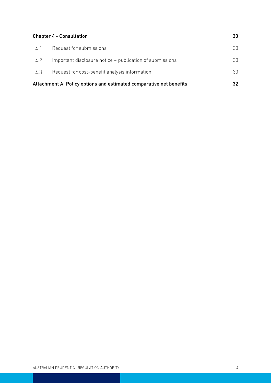|     | <b>Chapter 4 - Consultation</b><br>30                                     |    |
|-----|---------------------------------------------------------------------------|----|
| 4.1 | Request for submissions                                                   | 30 |
| 4.2 | Important disclosure notice – publication of submissions                  | 30 |
| 4.3 | Request for cost-benefit analysis information                             | 30 |
|     | Attachment A: Policy options and estimated comparative net benefits<br>32 |    |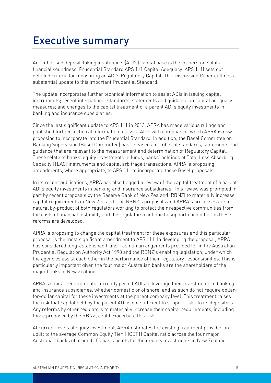# <span id="page-4-0"></span>Executive summary

An authorised deposit-taking institution's (ADI's) capital base is the cornerstone of its financial soundness. Prudential Standard APS 111 Capital Adequacy (APS 111) sets out detailed criteria for measuring an ADI's Regulatory Capital. This Discussion Paper outlines a substantial update to this important Prudential Standard.

The update incorporates further technical information to assist ADIs in issuing capital instruments; recent international standards, statements and guidance on capital adequacy measures; and changes to the capital treatment of a parent ADI's equity investments in banking and insurance subsidiaries.

Since the last significant update to APS 111 in 2013, APRA has made various rulings and published further technical information to assist ADIs with compliance, which APRA is now proposing to incorporate into the Prudential Standard. In addition, the Basel Committee on Banking Supervision (Basel Committee) has released a number of standards, statements and guidance that are relevant to the measurement and determination of Regulatory Capital. These relate to banks' equity investments in funds, banks' holdings of Total Loss Absorbing Capacity (TLAC) instruments and capital arbitrage transactions. APRA is proposing amendments, where appropriate, to APS 111 to incorporate these Basel proposals.

In its recent publications, APRA has also flagged a review of the capital treatment of a parent ADI's equity investments in banking and insurance subsidiaries. This review was prompted in part by recent proposals by the Reserve Bank of New Zealand (RBNZ) to materially increase capital requirements in New Zealand. The RBNZ's proposals and APRA's processes are a natural by-product of both regulators working to protect their respective communities from the costs of financial instability and the regulators continue to support each other as these reforms are developed.

APRA is proposing to change the capital treatment for these exposures and this particular proposal is the most significant amendment to APS 111. In developing the proposal, APRA has considered long-established trans-Tasman arrangements provided for in the Australian Prudential Regulation Authority Act 1998 and the RBNZ's enabling legislation, under which the agencies assist each other in the performance of their regulatory responsibilities. This is particularly important given the four major Australian banks are the shareholders of the major banks in New Zealand.

APRA's capital requirements currently permit ADIs to leverage their investments in banking and insurance subsidiaries, whether domestic or offshore, and as such do not require dollarfor-dollar capital for these investments at the parent company level. This treatment raises the risk that capital held by the parent ADI is not sufficient to support risks to its depositors. Any reforms by other regulators to materially increase their capital requirements, including those proposed by the RBNZ, could exacerbate this risk.

At current levels of equity investment, APRA estimates the existing treatment provides an uplift to the average Common Equity Tier 1 (CET1) Capital ratio across the four major Australian banks of around 100 basis points for their equity investments in New Zealand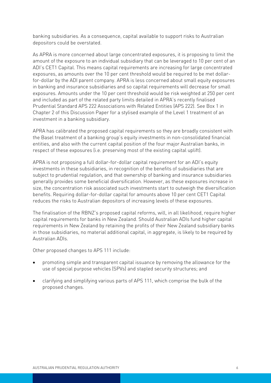banking subsidiaries. As a consequence, capital available to support risks to Australian depositors could be overstated.

As APRA is more concerned about large concentrated exposures, it is proposing to limit the amount of the exposure to an individual subsidiary that can be leveraged to 10 per cent of an ADI's CET1 Capital. This means capital requirements are increasing for large concentrated exposures, as amounts over the 10 per cent threshold would be required to be met dollarfor-dollar by the ADI parent company. APRA is less concerned about small equity exposures in banking and insurance subsidiaries and so capital requirements will decrease for small exposures. Amounts under the 10 per cent threshold would be risk weighted at 250 per cent and included as part of the related party limits detailed in APRA's recently finalised Prudential Standard APS 222 Associations with Related Entities (APS 222). See Box 1 in Chapter 2 of this Discussion Paper for a stylised example of the Level 1 treatment of an investment in a banking subsidiary.

APRA has calibrated the proposed capital requirements so they are broadly consistent with the Basel treatment of a banking group's equity investments in non-consolidated financial entities, and also with the current capital position of the four major Australian banks, in respect of these exposures (i.e. preserving most of the existing capital uplift).

APRA is not proposing a full dollar-for-dollar capital requirement for an ADI's equity investments in these subsidiaries, in recognition of the benefits of subsidiaries that are subject to prudential regulation, and that ownership of banking and insurance subsidiaries generally provides some beneficial diversification. However, as these exposures increase in size, the concentration risk associated such investments start to outweigh the diversification benefits. Requiring dollar-for-dollar capital for amounts above 10 per cent CET1 Capital reduces the risks to Australian depositors of increasing levels of these exposures.

The finalisation of the RBNZ's proposed capital reforms, will, in all likelihood, require higher capital requirements for banks in New Zealand. Should Australian ADIs fund higher capital requirements in New Zealand by retaining the profits of their New Zealand subsidiary banks in those subsidiaries, no material additional capital, in aggregate, is likely to be required by Australian ADIs.

Other proposed changes to APS 111 include:

- promoting simple and transparent capital issuance by removing the allowance for the use of special purpose vehicles (SPVs) and stapled security structures; and
- clarifying and simplifying various parts of APS 111, which comprise the bulk of the proposed changes.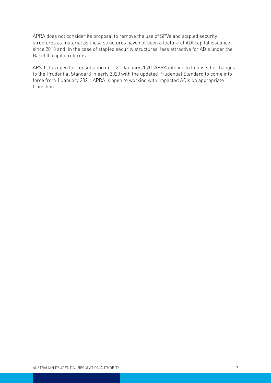APRA does not consider its proposal to remove the use of SPVs and stapled security structures as material as these structures have not been a feature of ADI capital issuance since 2013 and, in the case of stapled security structures, less attractive for ADIs under the Basel III capital reforms.

APS 111 is open for consultation until 31 January 2020. APRA intends to finalise the changes to the Prudential Standard in early 2020 with the updated Prudential Standard to come into force from 1 January 2021. APRA is open to working with impacted ADIs on appropriate transition.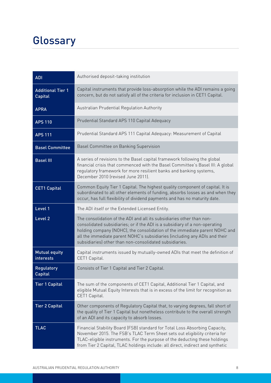# <span id="page-7-0"></span>**Glossary**

| <b>ADI</b>                                 | Authorised deposit-taking institution                                                                                                                                                                                                                                                                                                                                       |
|--------------------------------------------|-----------------------------------------------------------------------------------------------------------------------------------------------------------------------------------------------------------------------------------------------------------------------------------------------------------------------------------------------------------------------------|
| <b>Additional Tier 1</b><br><b>Capital</b> | Capital instruments that provide loss-absorption while the ADI remains a going<br>concern, but do not satisfy all of the criteria for inclusion in CET1 Capital.                                                                                                                                                                                                            |
| <b>APRA</b>                                | Australian Prudential Regulation Authority                                                                                                                                                                                                                                                                                                                                  |
| <b>APS 110</b>                             | Prudential Standard APS 110 Capital Adequacy                                                                                                                                                                                                                                                                                                                                |
| <b>APS 111</b>                             | Prudential Standard APS 111 Capital Adequacy: Measurement of Capital                                                                                                                                                                                                                                                                                                        |
| <b>Basel Committee</b>                     | Basel Committee on Banking Supervision                                                                                                                                                                                                                                                                                                                                      |
| <b>Basel III</b>                           | A series of revisions to the Basel capital framework following the global<br>financial crisis that commenced with the Basel Committee's Basel III: A global<br>regulatory framework for more resilient banks and banking systems,<br>December 2010 (revised June 2011).                                                                                                     |
| <b>CET1 Capital</b>                        | Common Equity Tier 1 Capital. The highest quality component of capital. It is<br>subordinated to all other elements of funding, absorbs losses as and when they<br>occur, has full flexibility of dividend payments and has no maturity date.                                                                                                                               |
| Level 1                                    | The ADI itself or the Extended Licensed Entity.                                                                                                                                                                                                                                                                                                                             |
| Level <sub>2</sub>                         | The consolidation of the ADI and all its subsidiaries other than non-<br>consolidated subsidiaries; or if the ADI is a subsidiary of a non-operating<br>holding company (NOHC), the consolidation of the immediate parent NOHC and<br>all the immediate parent NOHC's subsidiaries (including any ADIs and their<br>subsidiaries) other than non-consolidated subsidiaries. |
| <b>Mutual equity</b><br>interests          | Capital instruments issued by mutually-owned ADIs that meet the definition of<br>CET1 Capital.                                                                                                                                                                                                                                                                              |
| Regulatory<br><b>Capital</b>               | Consists of Tier 1 Capital and Tier 2 Capital.                                                                                                                                                                                                                                                                                                                              |
| <b>Tier 1 Capital</b>                      | The sum of the components of CET1 Capital, Additional Tier 1 Capital, and<br>eligible Mutual Equity Interests that is in excess of the limit for recognition as<br>CET1 Capital.                                                                                                                                                                                            |
| <b>Tier 2 Capital</b>                      | Other components of Regulatory Capital that, to varying degrees, fall short of<br>the quality of Tier 1 Capital but nonetheless contribute to the overall strength<br>of an ADI and its capacity to absorb losses.                                                                                                                                                          |
| <b>TLAC</b>                                | Financial Stability Board (FSB) standard for Total Loss Absorbing Capacity,<br>November 2015. The FSB's TLAC Term Sheet sets out eligibility criteria for<br>TLAC-eligible instruments. For the purpose of the deducting these holdings<br>from Tier 2 Capital, TLAC holdings include: all direct, indirect and synthetic                                                   |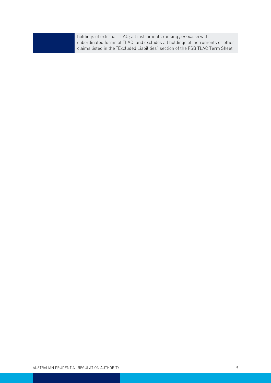holdings of external TLAC; all instruments ranking *pari passu* with subordinated forms of TLAC; and excludes all holdings of instruments or other claims listed in the "Excluded Liabilities" section of the FSB TLAC Term Sheet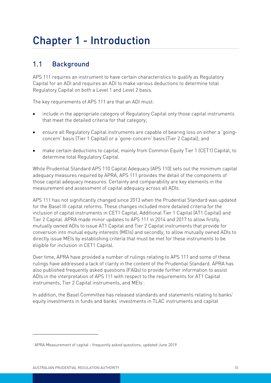# <span id="page-9-0"></span>Chapter 1 - Introduction

#### <span id="page-9-1"></span> $1.1$ Background

APS 111 requires an instrument to have certain characteristics to qualify as Regulatory Capital for an ADI and requires an ADI to make various deductions to determine total Regulatory Capital on both a Level 1 and Level 2 basis.

The key requirements of APS 111 are that an ADI must:

- include in the appropriate category of Regulatory Capital only those capital instruments that meet the detailed criteria for that category;
- ensure all Regulatory Capital instruments are capable of bearing loss on either a 'goingconcern' basis (Tier 1 Capital) or a 'gone-concern' basis (Tier 2 Capital); and
- make certain deductions to capital, mainly from Common Equity Tier 1 (CET1) Capital, to determine total Regulatory Capital.

While Prudential Standard APS 110 Capital Adequacy (APS 110) sets out the minimum capital adequacy measures required by APRA, APS 111 provides the detail of the components of those capital adequacy measures. Certainty and comparability are key elements in the measurement and assessment of capital adequacy across all ADIs.

APS 111 has not significantly changed since 2013 when the Prudential Standard was updated for the Basel III capital reforms. These changes included more detailed criteria for the inclusion of capital instruments in CET1 Capital, Additional Tier 1 Capital (AT1 Capital) and Tier 2 Capital. APRA made minor updates to APS 111 in 2014 and 2017 to allow firstly, mutually owned ADIs to issue AT1 Capital and Tier 2 Capital instruments that provide for conversion into mutual equity interests (MEIs) and secondly, to allow mutually owned ADIs to directly issue MEIs by establishing criteria that must be met for these instruments to be eligible for inclusion in CET1 Capital.

Over time, APRA have provided a number of rulings relating to APS 111 and some of these rulings have addressed a lack of clarity in the content of the Prudential Standard. APRA has also published frequently asked questions (FAQs) to provide further information to assist ADIs in the interpretation of APS 111 with respect to the requirements for AT1 Capital instruments, Tier 2 Capital instruments, and MEIs<sup>[1](#page-9-2)</sup>.

In addition, the Basel Committee has released standards and statements relating to banks' equity investments in funds and banks' investments in TLAC instruments and capital

 $\overline{a}$ 

<span id="page-9-2"></span><sup>1</sup> APRA Measurement of capital - frequently asked questions, updated June 2019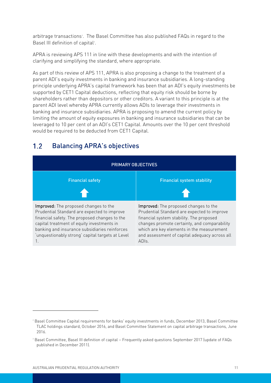arbitrage transactions<sup>[2](#page-10-1)</sup>. The Basel Committee has also published FAQs in regard to the Basel III definition of capital<sup>[3](#page-10-2)</sup>.

APRA is reviewing APS 111 in line with these developments and with the intention of clarifying and simplifying the standard, where appropriate.

As part of this review of APS 111, APRA is also proposing a change to the treatment of a parent ADI's equity investments in banking and insurance subsidiaries. A long-standing principle underlying APRA's capital framework has been that an ADI's equity investments be supported by CET1 Capital deductions, reflecting that equity risk should be borne by shareholders rather than depositors or other creditors. A variant to this principle is at the parent ADI level whereby APRA currently allows ADIs to leverage their investments in banking and insurance subsidiaries. APRA is proposing to amend the current policy by limiting the amount of equity exposures in banking and insurance subsidiaries that can be leveraged to 10 per cent of an ADI's CET1 Capital. Amounts over the 10 per cent threshold would be required to be deducted from CET1 Capital.

# PRIMARY OBJECTIVES Financial safety **Financial system stability**

#### <span id="page-10-0"></span> $1.2$ Balancing APRA's objectives

Improved: The proposed changes to the Prudential Standard are expected to improve financial safety. The proposed changes to the capital treatment of equity investments in banking and insurance subsidiaries reinforces 'unquestionably strong' capital targets at Level 1.

Improved: The proposed changes to the Prudential Standard are expected to improve financial system stability. The proposed changes promote certainty, and comparability which are key elements in the measurement and assessment of capital adequacy across all ADIs.

 $\overline{a}$ 

<span id="page-10-1"></span><sup>2</sup> Basel Committee Capital requirements for banks' equity investments in fund*s*, December 2013, Basel Committee TLAC holdings standard, October 2016, and Basel Committee Statement on capital arbitrage transactions*,* June 2016.

<span id="page-10-2"></span><sup>3</sup> Basel Committee, Basel III definition of capital – Frequently asked questions September 2017 (update of FAQs published in December 2011).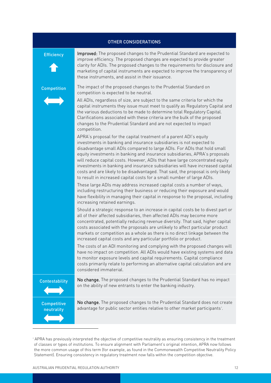|                                  | <b>OTHER CONSIDERATIONS</b>                                                                                                                                                                                                                                                                                                                                                                                                                                                                                                                                                                                                                                                                                                                                                                                                                                                                                                                                                                                                                                                                                                                                                                                                                                                                                                                                                                                                                                                                                                                                                                                                                                                                                                                                                                                                                                                                                                                                                                                                                                                                                                                                                                                                                                                                  |
|----------------------------------|----------------------------------------------------------------------------------------------------------------------------------------------------------------------------------------------------------------------------------------------------------------------------------------------------------------------------------------------------------------------------------------------------------------------------------------------------------------------------------------------------------------------------------------------------------------------------------------------------------------------------------------------------------------------------------------------------------------------------------------------------------------------------------------------------------------------------------------------------------------------------------------------------------------------------------------------------------------------------------------------------------------------------------------------------------------------------------------------------------------------------------------------------------------------------------------------------------------------------------------------------------------------------------------------------------------------------------------------------------------------------------------------------------------------------------------------------------------------------------------------------------------------------------------------------------------------------------------------------------------------------------------------------------------------------------------------------------------------------------------------------------------------------------------------------------------------------------------------------------------------------------------------------------------------------------------------------------------------------------------------------------------------------------------------------------------------------------------------------------------------------------------------------------------------------------------------------------------------------------------------------------------------------------------------|
| <b>Efficiency</b>                | Improved: The proposed changes to the Prudential Standard are expected to<br>improve efficiency. The proposed changes are expected to provide greater<br>clarity for ADIs. The proposed changes to the requirements for disclosure and<br>marketing of capital instruments are expected to improve the transparency of<br>these instruments, and assist in their issuance.                                                                                                                                                                                                                                                                                                                                                                                                                                                                                                                                                                                                                                                                                                                                                                                                                                                                                                                                                                                                                                                                                                                                                                                                                                                                                                                                                                                                                                                                                                                                                                                                                                                                                                                                                                                                                                                                                                                   |
| <b>Competition</b>               | The impact of the proposed changes to the Prudential Standard on<br>competition is expected to be neutral.<br>All ADIs, regardless of size, are subject to the same criteria for which the<br>capital instruments they issue must meet to qualify as Regulatory Capital and<br>the various deductions to be made to determine total Regulatory Capital.<br>Clarifications associated with these criteria are the bulk of the proposed<br>changes to the Prudential Standard and are not expected to impact<br>competition.<br>APRA's proposal for the capital treatment of a parent ADI's equity<br>investments in banking and insurance subsidiaries is not expected to<br>disadvantage small ADIs compared to large ADIs. For ADIs that hold small<br>equity investments in banking and insurance subsidiaries, APRA's proposals<br>will reduce capital costs. However, ADIs that have large concentrated equity<br>investments in banking and insurance subsidiaries will have increased capital<br>costs and are likely to be disadvantaged. That said, the proposal is only likely<br>to result in increased capital costs for a small number of large ADIs.<br>These large ADIs may address increased capital costs a number of ways,<br>including restructuring their business or reducing their exposure and would<br>have flexibility in managing their capital in response to the proposal, including<br>increasing retained earnings.<br>Should a strategic response to an increase in capital costs be to divest part or<br>all of their affected subsidiaries, then affected ADIs may become more<br>concentrated, potentially reducing revenue diversity. That said, higher capital<br>costs associated with the proposals are unlikely to affect particular product<br>markets or competition as a whole as there is no direct linkage between the<br>increased capital costs and any particular portfolio or product.<br>The costs of an ADI monitoring and complying with the proposed changes will<br>have no impact on competition. All ADIs would have existing systems and data<br>to monitor exposure levels and capital requirements. Capital compliance<br>costs primarily relate to performing an alternative capital calculation and are<br>considered immaterial. |
| <b>Contestability</b>            | No change. The proposed changes to the Prudential Standard has no impact<br>on the ability of new entrants to enter the banking industry.                                                                                                                                                                                                                                                                                                                                                                                                                                                                                                                                                                                                                                                                                                                                                                                                                                                                                                                                                                                                                                                                                                                                                                                                                                                                                                                                                                                                                                                                                                                                                                                                                                                                                                                                                                                                                                                                                                                                                                                                                                                                                                                                                    |
| <b>Competitive</b><br>neutrality | No change. The proposed changes to the Prudential Standard does not create<br>advantage for public sector entities relative to other market participants <sup>4</sup> .                                                                                                                                                                                                                                                                                                                                                                                                                                                                                                                                                                                                                                                                                                                                                                                                                                                                                                                                                                                                                                                                                                                                                                                                                                                                                                                                                                                                                                                                                                                                                                                                                                                                                                                                                                                                                                                                                                                                                                                                                                                                                                                      |

<span id="page-11-0"></span><sup>4</sup> APRA has previously interpreted the objective of competitive neutrality as ensuring consistency in the treatment of classes or types of institutions. To ensure alignment with Parliament's original intention, APRA now follows the more common usage of this term (for example, as found in the Commonwealth Competitive Neutrality Policy Statement). Ensuring consistency in regulatory treatment now falls within the competition objective.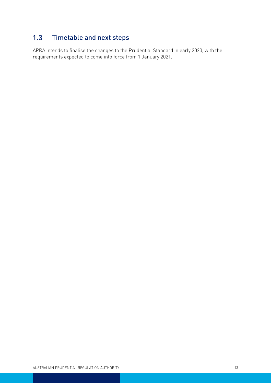#### <span id="page-12-0"></span> $1.3$ Timetable and next steps

APRA intends to finalise the changes to the Prudential Standard in early 2020, with the requirements expected to come into force from 1 January 2021.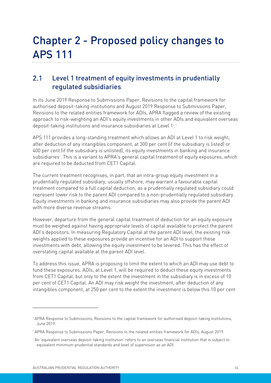# <span id="page-13-0"></span>Chapter 2 - Proposed policy changes to APS 111

## <span id="page-13-1"></span> $2.1$ Level 1 treatment of equity investments in prudentially regulated subsidiaries

In its June 2019 Response to Submissions Paper, Revisions to the capital framework for authorised deposit-taking institutions and August 2019 Response to Submissions Paper, Revisions to the related entities framework for ADIs, APRA flagged a review of the existing approach to risk-weighting an ADI's equity investments in other ADIs and equivalent overseas deposit-taking institutions and insurance subsidiaries at Level 1[5](#page-13-2).[6](#page-13-3)

APS 111 provides a long-standing treatment which allows an ADI at Level 1 to risk weight, after deduction of any intangibles component, at 300 per cent (if the subsidiary is listed) or 400 per cent (if the subsidiary is unlisted), its equity investments in banking and insurance subsidiaries<sup>[7](#page-13-4)</sup>. This is a variant to APRA's general capital treatment of equity exposures, which are required to be deducted from CET1 Capital.

The current treatment recognises, in part, that an intra-group equity investment in a prudentially regulated subsidiary, usually offshore, may warrant a favourable capital treatment compared to a full capital deduction, as a prudentially regulated subsidiary could represent lower risk to the parent ADI compared to a non-prudentially regulated subsidiary. Equity investments in banking and insurance subsidiaries may also provide the parent ADI with more diverse revenue streams.

However, departure from the general capital treatment of deduction for an equity exposure must be weighed against having appropriate levels of capital available to protect the parent ADI's depositors. In measuring Regulatory Capital at the parent ADI level, the existing risk weights applied to these exposures provide an incentive for an ADI to support these investments with debt, allowing the equity investment to be levered. This has the effect of overstating capital available at the parent ADI level.

To address this issue, APRA is proposing to limit the extent to which an ADI may use debt to fund these exposures. ADIs, at Level 1, will be required to deduct these equity investments from CET1 Capital, but only to the extent the investment in the subsidiary is in excess of 10 per cent of CET1 Capital. An ADI may risk weight the investment, after deduction of any intangibles component, at 250 per cent to the extent the investment is below this 10 per cent

 $\overline{a}$ 

<span id="page-13-2"></span><sup>5</sup> APRA Response to Submissions, Revisions to the capital framework for authorised deposit-taking institutions, June 2019.

<span id="page-13-3"></span><sup>6</sup> APRA Response to Submissions Paper, Revisions to the related entities framework for ADIs, August 2019.

<span id="page-13-4"></span><sup>7</sup> An 'equivalent overseas deposit-taking institution' refers to an overseas financial institution that is subject to equivalent minimum prudential standards and level of supervision as an ADI.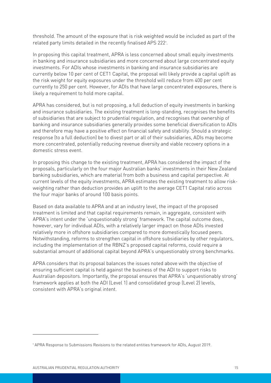threshold. The amount of the exposure that is risk weighted would be included as part of the related party limits detailed in the recently finalised APS 222<sup>®</sup>.

In proposing this capital treatment, APRA is less concerned about small equity investments in banking and insurance subsidiaries and more concerned about large concentrated equity investments. For ADIs whose investments in banking and insurance subsidiaries are currently below 10 per cent of CET1 Capital, the proposal will likely provide a capital uplift as the risk weight for equity exposures under the threshold will reduce from 400 per cent currently to 250 per cent. However, for ADIs that have large concentrated exposures, there is likely a requirement to hold more capital.

APRA has considered, but is not proposing, a full deduction of equity investments in banking and insurance subsidiaries. The existing treatment is long-standing, recognises the benefits of subsidiaries that are subject to prudential regulation, and recognises that ownership of banking and insurance subsidiaries generally provides some beneficial diversification to ADIs and therefore may have a positive effect on financial safety and stability. Should a strategic response (to a full deduction) be to divest part or all of their subsidiaries, ADIs may become more concentrated, potentially reducing revenue diversity and viable recovery options in a domestic stress event.

In proposing this change to the existing treatment, APRA has considered the impact of the proposals, particularly on the four major Australian banks' investments in their New Zealand banking subsidiaries, which are material from both a business and capital perspective. At current levels of the equity investments, APRA estimates the existing treatment to allow riskweighting rather than deduction provides an uplift to the average CET1 Capital ratio across the four major banks of around 100 basis points.

Based on data available to APRA and at an industry level, the impact of the proposed treatment is limited and that capital requirements remain, in aggregate, consistent with APRA's intent under the 'unquestionably strong' framework. The capital outcome does, however, vary for individual ADIs, with a relatively larger impact on those ADIs invested relatively more in offshore subsidiaries compared to more domestically focused peers. Notwithstanding, reforms to strengthen capital in offshore subsidiaries by other regulators, including the implementation of the RBNZ's proposed capital reforms, could require a substantial amount of additional capital beyond APRA's unquestionably strong benchmarks.

APRA considers that its proposal balances the issues noted above with the objective of ensuring sufficient capital is held against the business of the ADI to support risks to Australian depositors. Importantly, the proposal ensures that APRA's 'unquestionably strong' framework applies at both the ADI (Level 1) and consolidated group (Level 2) levels, consistent with APRA's original intent.

 $\overline{a}$ 

<span id="page-14-0"></span><sup>8</sup> APRA Response to Submissions Revisions to the related entities framework for ADIs, August 2019.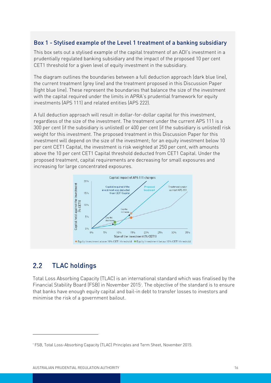## Box 1 - Stylised example of the Level 1 treatment of a banking subsidiary

This box sets out a stylised example of the capital treatment of an ADI's investment in a prudentially regulated banking subsidiary and the impact of the proposed 10 per cent CET1 threshold for a given level of equity investment in the subsidiary.

The diagram outlines the boundaries between a full deduction approach (dark blue line), the current treatment (grey line) and the treatment proposed in this Discussion Paper (light blue line). These represent the boundaries that balance the size of the investment with the capital required under the limits in APRA's prudential framework for equity investments (APS 111) and related entities (APS 222).

A full deduction approach will result in dollar-for-dollar capital for this investment, regardless of the size of the investment. The treatment under the current APS 111 is a 300 per cent (if the subsidiary is unlisted) or 400 per cent (if the subsidiary is unlisted) risk weight for this investment. The proposed treatment in this Discussion Paper for this investment will depend on the size of the investment; for an equity investment below 10 per cent CET1 Capital, the investment is risk weighted at 250 per cent, with amounts above the 10 per cent CET1 Capital threshold deducted from CET1 Capital. Under the proposed treatment, capital requirements are decreasing for small exposures and increasing for large concentrated exposures.



#### <span id="page-15-0"></span> $2.2$ TLAC holdings

 $\overline{a}$ 

Total Loss Absorbing Capacity (TLAC) is an international standard which was finalised by the Financial Stability Board (FSB) in November 2015<sup>°</sup>. The objective of the standard is to ensure that banks have enough equity capital and bail-in debt to transfer losses to investors and minimise the risk of a government bailout.

<span id="page-15-1"></span><sup>9</sup> FSB, Total Loss-Absorbing Capacity (TLAC) Principles and Term Sheet, November 2015.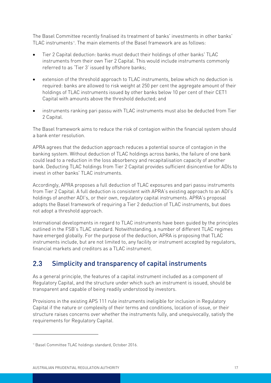The Basel Committee recently finalised its treatment of banks' investments in other banks' TLAC instruments<sup>®</sup>. The main elements of the Basel framework are as follows:

- Tier 2 Capital deduction: banks must deduct their holdings of other banks' TLAC instruments from their own Tier 2 Capital. This would include instruments commonly referred to as 'Tier 3' issued by offshore banks;
- extension of the threshold approach to TLAC instruments, below which no deduction is required: banks are allowed to risk weight at 250 per cent the aggregate amount of their holdings of TLAC instruments issued by other banks below 10 per cent of their CET1 Capital with amounts above the threshold deducted; and
- instruments ranking pari passu with TLAC instruments must also be deducted from Tier 2 Capital.

The Basel framework aims to reduce the risk of contagion within the financial system should a bank enter resolution.

APRA agrees that the deduction approach reduces a potential source of contagion in the banking system. Without deduction of TLAC holdings across banks, the failure of one bank could lead to a reduction in the loss absorbency and recapitalisation capacity of another bank. Deducting TLAC holdings from Tier 2 Capital provides sufficient disincentive for ADIs to invest in other banks' TLAC instruments.

Accordingly, APRA proposes a full deduction of TLAC exposures and pari passu instruments from Tier 2 Capital. A full deduction is consistent with APRA's existing approach to an ADI's holdings of another ADI's, or their own, regulatory capital instruments. APRA's proposal adopts the Basel framework of requiring a Tier 2 deduction of TLAC instruments, but does not adopt a threshold approach.

International developments in regard to TLAC instruments have been guided by the principles outlined in the FSB's TLAC standard. Notwithstanding, a number of different TLAC regimes have emerged globally. For the purpose of the deduction, APRA is proposing that TLAC instruments include, but are not limited to, any facility or instrument accepted by regulators, financial markets and creditors as a TLAC instrument.

#### <span id="page-16-0"></span> $2.3$ Simplicity and transparency of capital instruments

As a general principle, the features of a capital instrument included as a component of Regulatory Capital, and the structure under which such an instrument is issued, should be transparent and capable of being readily understood by investors.

Provisions in the existing APS 111 rule instruments ineligible for inclusion in Regulatory Capital if the nature or complexity of their terms and conditions, location of issue, or their structure raises concerns over whether the instruments fully, and unequivocally, satisfy the requirements for Regulatory Capital.

 $\overline{a}$ 

<span id="page-16-1"></span><sup>&</sup>lt;sup>10</sup> Basel Committee TLAC holdings standard, October 2016.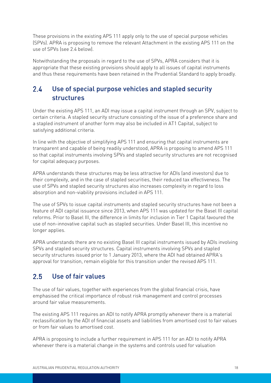These provisions in the existing APS 111 apply only to the use of special purpose vehicles (SPVs). APRA is proposing to remove the relevant Attachment in the existing APS 111 on the use of SPVs (see 2.4 below).

Notwithstanding the proposals in regard to the use of SPVs, APRA considers that it is appropriate that these existing provisions should apply to all issues of capital instruments and thus these requirements have been retained in the Prudential Standard to apply broadly.

## <span id="page-17-0"></span> $2.4$ Use of special purpose vehicles and stapled security structures

Under the existing APS 111, an ADI may issue a capital instrument through an SPV, subject to certain criteria. A stapled security structure consisting of the issue of a preference share and a stapled instrument of another form may also be included in AT1 Capital, subject to satisfying additional criteria.

In line with the objective of simplifying APS 111 and ensuring that capital instruments are transparent and capable of being readily understood, APRA is proposing to amend APS 111 so that capital instruments involving SPVs and stapled security structures are not recognised for capital adequacy purposes.

APRA understands these structures may be less attractive for ADIs (and investors) due to their complexity, and in the case of stapled securities, their reduced tax effectiveness. The use of SPVs and stapled security structures also increases complexity in regard to loss absorption and non-viability provisions included in APS 111.

The use of SPVs to issue capital instruments and stapled security structures have not been a feature of ADI capital issuance since 2013, when APS 111 was updated for the Basel III capital reforms. Prior to Basel III, the difference in limits for inclusion in Tier 1 Capital favoured the use of non-innovative capital such as stapled securities. Under Basel III, this incentive no longer applies.

APRA understands there are no existing Basel III capital instruments issued by ADIs involving SPVs and stapled security structures. Capital instruments involving SPVs and stapled security structures issued prior to 1 January 2013, where the ADI had obtained APRA's approval for transition, remain eligible for this transition under the revised APS 111.

#### <span id="page-17-1"></span> $2.5$ Use of fair values

The use of fair values, together with experiences from the global financial crisis, have emphasised the critical importance of robust risk management and control processes around fair value measurements.

The existing APS 111 requires an ADI to notify APRA promptly whenever there is a material reclassification by the ADI of financial assets and liabilities from amortised cost to fair values or from fair values to amortised cost.

APRA is proposing to include a further requirement in APS 111 for an ADI to notify APRA whenever there is a material change in the systems and controls used for valuation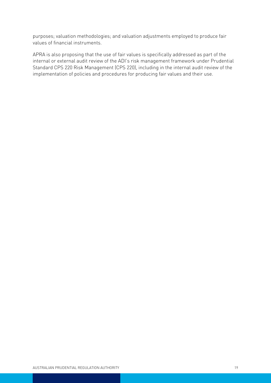purposes; valuation methodologies; and valuation adjustments employed to produce fair values of financial instruments.

APRA is also proposing that the use of fair values is specifically addressed as part of the internal or external audit review of the ADI's risk management framework under Prudential Standard CPS 220 Risk Management (CPS 220), including in the internal audit review of the implementation of policies and procedures for producing fair values and their use.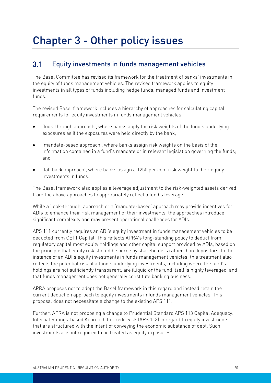# <span id="page-19-0"></span>Chapter 3 - Other policy issues

#### <span id="page-19-1"></span> $3.1$ Equity investments in funds management vehicles

The Basel Committee has revised its framework for the treatment of banks' investments in the equity of funds management vehicles. The revised framework applies to equity investments in all types of funds including hedge funds, managed funds and investment funds.

The revised Basel framework includes a hierarchy of approaches for calculating capital requirements for equity investments in funds management vehicles:

- 'look-through approach', where banks apply the risk weights of the fund's underlying exposures as if the exposures were held directly by the bank;
- 'mandate-based approach', where banks assign risk weights on the basis of the information contained in a fund's mandate or in relevant legislation governing the funds; and
- 'fall back approach', where banks assign a 1250 per cent risk weight to their equity investments in funds.

The Basel framework also applies a leverage adjustment to the risk-weighted assets derived from the above approaches to appropriately reflect a fund's leverage.

While a 'look-through' approach or a 'mandate-based' approach may provide incentives for ADIs to enhance their risk management of their investments, the approaches introduce significant complexity and may present operational challenges for ADIs.

APS 111 currently requires an ADI's equity investment in funds management vehicles to be deducted from CET1 Capital. This reflects APRA's long-standing policy to deduct from regulatory capital most equity holdings and other capital support provided by ADIs, based on the principle that equity risk should be borne by shareholders rather than depositors. In the instance of an ADI's equity investments in funds management vehicles, this treatment also reflects the potential risk of a fund's underlying investments, including where the fund's holdings are not sufficiently transparent, are illiquid or the fund itself is highly leveraged, and that funds management does not generally constitute banking business.

APRA proposes not to adopt the Basel framework in this regard and instead retain the current deduction approach to equity investments in funds management vehicles. This proposal does not necessitate a change to the existing APS 111.

Further, APRA is not proposing a change to Prudential Standard APS 113 Capital Adequacy: Internal Ratings-based Approach to Credit Risk (APS 113) in regard to equity investments that are structured with the intent of conveying the economic substance of debt. Such investments are not required to be treated as equity exposures.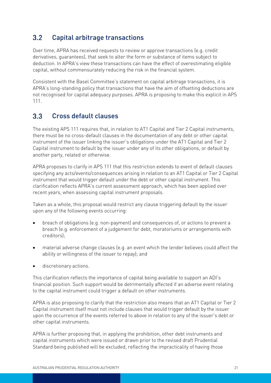#### <span id="page-20-0"></span> $3.2$ Capital arbitrage transactions

Over time, APRA has received requests to review or approve transactions (e.g. credit derivatives, guarantees), that seek to alter the form or substance of items subject to deduction. In APRA's view these transactions can have the effect of overestimating eligible capital, without commensurately reducing the risk in the financial system.

Consistent with the Basel Committee's statement on capital arbitrage transactions, it is APRA's long-standing policy that transactions that have the aim of offsetting deductions are not recognised for capital adequacy purposes. APRA is proposing to make this explicit in APS 111.

#### <span id="page-20-1"></span> $3.3$ Cross default clauses

The existing APS 111 requires that, in relation to AT1 Capital and Tier 2 Capital instruments, there must be no cross-default clauses in the documentation of any debt or other capital instrument of the issuer linking the issuer's obligations under the AT1 Capital and Tier 2 Capital instrument to default by the issuer under any of its other obligations, or default by another party, related or otherwise.

APRA proposes to clarify in APS 111 that this restriction extends to event of default clauses specifying any acts/events/consequences arising in relation to an AT1 Capital or Tier 2 Capital instrument that would trigger default under the debt or other capital instrument. This clarification reflects APRA's current assessment approach, which has been applied over recent years, when assessing capital instrument proposals.

Taken as a whole, this proposal would restrict any clause triggering default by the issuer upon any of the following events occurring:

- breach of obligations (e.g. non-payment) and consequences of, or actions to prevent a breach (e.g. enforcement of a judgement for debt, moratoriums or arrangements with creditors);
- material adverse change clauses (e.g. an event which the lender believes could affect the ability or willingness of the issuer to repay); and
- discretionary actions.

This clarification reflects the importance of capital being available to support an ADI's financial position. Such support would be detrimentally affected if an adverse event relating to the capital instrument could trigger a default on other instruments.

APRA is also proposing to clarify that the restriction also means that an AT1 Capital or Tier 2 Capital instrument itself must not include clauses that would trigger default by the issuer upon the occurrence of the events referred to above in relation to any of the issuer's debt or other capital instruments.

APRA is further proposing that, in applying the prohibition, other debt instruments and capital instruments which were issued or drawn prior to the revised draft Prudential Standard being published will be excluded, reflecting the impracticality of having those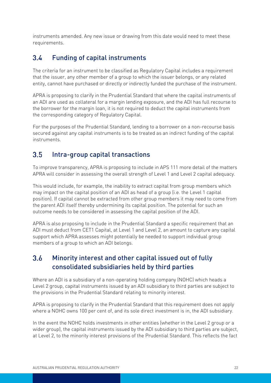instruments amended. Any new issue or drawing from this date would need to meet these requirements.

#### <span id="page-21-0"></span>Funding of capital instruments  $3.4$

The criteria for an instrument to be classified as Regulatory Capital includes a requirement that the issuer, any other member of a group to which the issuer belongs, or any related entity, cannot have purchased or directly or indirectly funded the purchase of the instrument.

APRA is proposing to clarify in the Prudential Standard that where the capital instruments of an ADI are used as collateral for a margin lending exposure, and the ADI has full recourse to the borrower for the margin loan, it is not required to deduct the capital instruments from the corresponding category of Regulatory Capital.

For the purposes of the Prudential Standard, lending to a borrower on a non-recourse basis secured against any capital instruments is to be treated as an indirect funding of the capital instruments.

#### <span id="page-21-1"></span> $35$ Intra-group capital transactions

To improve transparency, APRA is proposing to include in APS 111 more detail of the matters APRA will consider in assessing the overall strength of Level 1 and Level 2 capital adequacy.

This would include, for example, the inability to extract capital from group members which may impact on the capital position of an ADI as head of a group (i.e. the Level 1 capital position). If capital cannot be extracted from other group members it may need to come from the parent ADI itself thereby undermining its capital position. The potential for such an outcome needs to be considered in assessing the capital position of the ADI.

APRA is also proposing to include in the Prudential Standard a specific requirement that an ADI must deduct from CET1 Capital, at Level 1 and Level 2, an amount to capture any capital support which APRA assesses might potentially be needed to support individual group members of a group to which an ADI belongs.

### <span id="page-21-2"></span> $3.6$ Minority interest and other capital issued out of fully consolidated subsidiaries held by third parties

Where an ADI is a subsidiary of a non-operating holding company (NOHC) which heads a Level 2 group, capital instruments issued by an ADI subsidiary to third parties are subject to the provisions in the Prudential Standard relating to minority interest.

APRA is proposing to clarify in the Prudential Standard that this requirement does not apply where a NOHC owns 100 per cent of, and its sole direct investment is in, the ADI subsidiary.

In the event the NOHC holds investments in other entities (whether in the Level 2 group or a wider group), the capital instruments issued by the ADI subsidiary to third parties are subject, at Level 2, to the minority interest provisions of the Prudential Standard. This reflects the fact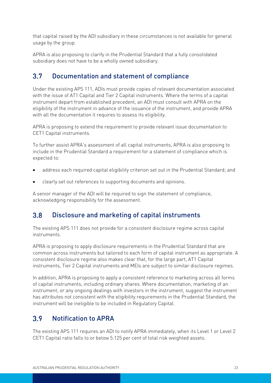that capital raised by the ADI subsidiary in these circumstances is not available for general usage by the group.

APRA is also proposing to clarify in the Prudential Standard that a fully consolidated subsidiary does not have to be a wholly owned subsidiary.

#### <span id="page-22-0"></span> $3.7$ Documentation and statement of compliance

Under the existing APS 111, ADIs must provide copies of relevant documentation associated with the issue of AT1 Capital and Tier 2 Capital instruments. Where the terms of a capital instrument depart from established precedent, an ADI must consult with APRA on the eligibility of the instrument in advance of the issuance of the instrument, and provide APRA with all the documentation it requires to assess its eligibility.

APRA is proposing to extend the requirement to provide relevant issue documentation to CET1 Capital instruments.

To further assist APRA's assessment of all capital instruments, APRA is also proposing to include in the Prudential Standard a requirement for a statement of compliance which is expected to:

- address each required capital eligibility criterion set out in the Prudential Standard; and
- clearly set out references to supporting documents and opinions.

A senior manager of the ADI will be required to sign the statement of compliance, acknowledging responsibility for the assessment.

#### <span id="page-22-1"></span> $3.8$ Disclosure and marketing of capital instruments

The existing APS 111 does not provide for a consistent disclosure regime across capital instruments.

APRA is proposing to apply disclosure requirements in the Prudential Standard that are common across instruments but tailored to each form of capital instrument as appropriate. A consistent disclosure regime also makes clear that, for the large part, AT1 Capital instruments, Tier 2 Capital instruments and MEIs are subject to similar disclosure regimes.

In addition, APRA is proposing to apply a consistent reference to marketing across all forms of capital instruments, including ordinary shares. Where documentation, marketing of an instrument, or any ongoing dealings with investors in the instrument, suggest the instrument has attributes not consistent with the eligibility requirements in the Prudential Standard, the instrument will be ineligible to be included in Regulatory Capital.

#### <span id="page-22-2"></span> $3.9$ Notification to APRA

The existing APS 111 requires an ADI to notify APRA immediately, when its Level 1 or Level 2 CET1 Capital ratio falls to or below 5.125 per cent of total risk weighted assets.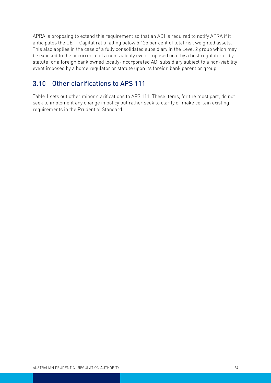APRA is proposing to extend this requirement so that an ADI is required to notify APRA if it anticipates the CET1 Capital ratio falling below 5.125 per cent of total risk weighted assets. This also applies in the case of a fully consolidated subsidiary in the Level 2 group which may be exposed to the occurrence of a non-viability event imposed on it by a host regulator or by statute; or a foreign bank owned locally-incorporated ADI subsidiary subject to a non-viability event imposed by a home regulator or statute upon its foreign bank parent or group.

#### <span id="page-23-0"></span>Other clarifications to APS 111  $3.10$

Table 1 sets out other minor clarifications to APS 111. These items, for the most part, do not seek to implement any change in policy but rather seek to clarify or make certain existing requirements in the Prudential Standard.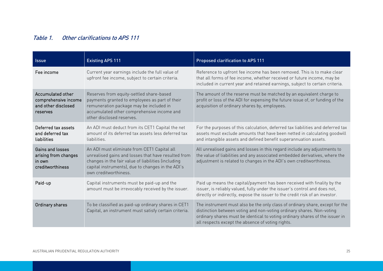## Table 1. Other clarifications to APS 111

| <b>Issue</b>                                                                 | <b>Existing APS 111</b>                                                                                                                                                                                                                 | <b>Proposed clarification to APS 111</b>                                                                                                                                                                                                                                                   |
|------------------------------------------------------------------------------|-----------------------------------------------------------------------------------------------------------------------------------------------------------------------------------------------------------------------------------------|--------------------------------------------------------------------------------------------------------------------------------------------------------------------------------------------------------------------------------------------------------------------------------------------|
| Fee income                                                                   | Current year earnings include the full value of<br>upfront fee income, subject to certain criteria.                                                                                                                                     | Reference to upfront fee income has been removed. This is to make clear<br>that all forms of fee income, whether received or future income, may be<br>included in current year and retained earnings, subject to certain criteria.                                                         |
| Accumulated other<br>comprehensive income<br>and other disclosed<br>reserves | Reserves from equity-settled share-based<br>payments granted to employees as part of their<br>remuneration package may be included in<br>accumulated other comprehensive income and<br>other disclosed reserves                         | The amount of the reserve must be matched by an equivalent charge to<br>profit or loss of the ADI for expensing the future issue of, or funding of the<br>acquisition of ordinary shares by, employees.                                                                                    |
| Deferred tax assets<br>and deferred tax<br>liabilities                       | An ADI must deduct from its CET1 Capital the net<br>amount of its deferred tax assets less deferred tax<br><b>liabilities</b>                                                                                                           | For the purposes of this calculation, deferred tax liabilities and deferred tax<br>assets must exclude amounts that have been netted in calculating goodwill<br>and intangible assets and defined benefit superannuation assets.                                                           |
| Gains and losses<br>arising from changes<br>in own<br>creditworthiness       | An ADI must eliminate from CET1 Capital all<br>unrealised gains and losses that have resulted from<br>changes in the fair value of liabilities (including<br>capital instruments), due to changes in the ADI's<br>own creditworthiness. | All unrealised gains and losses in this regard include any adjustments to<br>the value of liabilities and any associated embedded derivatives, where the<br>adjustment is related to changes in the ADI's own creditworthiness.                                                            |
| Paid-up                                                                      | Capital instruments must be paid-up and the<br>amount must be irrevocably received by the issuer.                                                                                                                                       | Paid up means the capital/payment has been received with finality by the<br>issuer, is reliably valued, fully under the issuer's control and does not,<br>directly or indirectly, expose the issuer to the credit risk of an investor.                                                     |
| Ordinary shares                                                              | To be classified as paid-up ordinary shares in CET1<br>Capital, an instrument must satisfy certain criteria.                                                                                                                            | The instrument must also be the only class of ordinary share, except for the<br>distinction between voting and non-voting ordinary shares. Non-voting<br>ordinary shares must be identical to voting ordinary shares of the issuer in<br>all respects except the absence of voting rights. |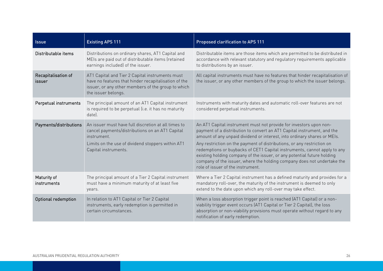| <b>Issue</b>                  | <b>Existing APS 111</b>                                                                                                                                                                           | <b>Proposed clarification to APS 111</b>                                                                                                                                                                                                                                                                                                                                                                                                                                                                                                                                   |
|-------------------------------|---------------------------------------------------------------------------------------------------------------------------------------------------------------------------------------------------|----------------------------------------------------------------------------------------------------------------------------------------------------------------------------------------------------------------------------------------------------------------------------------------------------------------------------------------------------------------------------------------------------------------------------------------------------------------------------------------------------------------------------------------------------------------------------|
| Distributable items           | Distributions on ordinary shares, AT1 Capital and<br>MEIs are paid out of distributable items (retained<br>earnings included) of the issuer.                                                      | Distributable items are those items which are permitted to be distributed in<br>accordance with relevant statutory and regulatory requirements applicable<br>to distributions by an issuer.                                                                                                                                                                                                                                                                                                                                                                                |
| Recapitalisation of<br>issuer | AT1 Capital and Tier 2 Capital instruments must<br>have no features that hinder recapitalisation of the<br>issuer, or any other members of the group to which<br>the issuer belongs.              | All capital instruments must have no features that hinder recapitalisation of<br>the issuer, or any other members of the group to which the issuer belongs.                                                                                                                                                                                                                                                                                                                                                                                                                |
| Perpetual instruments         | The principal amount of an AT1 Capital instrument<br>is required to be perpetual (i.e. it has no maturity<br>date).                                                                               | Instruments with maturity dates and automatic roll-over features are not<br>considered perpetual instruments.                                                                                                                                                                                                                                                                                                                                                                                                                                                              |
| Payments/distributions        | An issuer must have full discretion at all times to<br>cancel payments/distributions on an AT1 Capital<br>instrument<br>Limits on the use of dividend stoppers within AT1<br>Capital instruments. | An AT1 Capital instrument must not provide for investors upon non-<br>payment of a distribution to convert an AT1 Capital instrument, and the<br>amount of any unpaid dividend or interest, into ordinary shares or MEIs.<br>Any restriction on the payment of distributions, or any restriction on<br>redemptions or buybacks of CET1 Capital instruments, cannot apply to any<br>existing holding company of the issuer, or any potential future holding<br>company of the issuer, where the holding company does not undertake the<br>role of issuer of the instrument. |
| Maturity of<br>instruments    | The principal amount of a Tier 2 Capital instrument<br>must have a minimum maturity of at least five<br>years.                                                                                    | Where a Tier 2 Capital instrument has a defined maturity and provides for a<br>mandatory roll-over, the maturity of the instrument is deemed to only<br>extend to the date upon which any roll-over may take effect.                                                                                                                                                                                                                                                                                                                                                       |
| Optional redemption           | In relation to AT1 Capital or Tier 2 Capital<br>instruments, early redemption is permitted in<br>certain circumstances.                                                                           | When a loss absorption trigger point is reached (AT1 Capital) or a non-<br>viability trigger event occurs (AT1 Capital or Tier 2 Capital), the loss<br>absorption or non-viability provisions must operate without regard to any<br>notification of early redemption.                                                                                                                                                                                                                                                                                                      |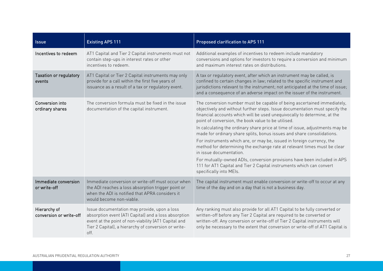| <b>Issue</b>                            | <b>Existing APS 111</b>                                                                                                                                                                                                      | <b>Proposed clarification to APS 111</b>                                                                                                                                                                                                                                                                                                                                                                                                                                                                                                                                                                                                                                                                                                                                                                           |
|-----------------------------------------|------------------------------------------------------------------------------------------------------------------------------------------------------------------------------------------------------------------------------|--------------------------------------------------------------------------------------------------------------------------------------------------------------------------------------------------------------------------------------------------------------------------------------------------------------------------------------------------------------------------------------------------------------------------------------------------------------------------------------------------------------------------------------------------------------------------------------------------------------------------------------------------------------------------------------------------------------------------------------------------------------------------------------------------------------------|
| Incentives to redeem                    | AT1 Capital and Tier 2 Capital instruments must not<br>contain step-ups in interest rates or other<br>incentives to redeem.                                                                                                  | Additional examples of incentives to redeem include mandatory<br>conversions and options for investors to require a conversion and minimum<br>and maximum interest rates on distributions.                                                                                                                                                                                                                                                                                                                                                                                                                                                                                                                                                                                                                         |
| Taxation or regulatory<br>events        | AT1 Capital or Tier 2 Capital instruments may only<br>provide for a call within the first five years of<br>issuance as a result of a tax or regulatory event.                                                                | A tax or regulatory event, after which an instrument may be called, is<br>confined to certain changes in law; related to the specific instrument and<br>jurisdictions relevant to the instrument; not anticipated at the time of issue;<br>and a consequence of an adverse impact on the issuer of the instrument.                                                                                                                                                                                                                                                                                                                                                                                                                                                                                                 |
| Conversion into<br>ordinary shares      | The conversion formula must be fixed in the issue<br>documentation of the capital instrument.                                                                                                                                | The conversion number must be capable of being ascertained immediately,<br>objectively and without further steps. Issue documentation must specify the<br>financial accounts which will be used unequivocally to determine, at the<br>point of conversion, the book value to be utilised.<br>In calculating the ordinary share price at time of issue, adjustments may be<br>made for ordinary share splits, bonus issues and share consolidations.<br>For instruments which are, or may be, issued in foreign currency, the<br>method for determining the exchange rate at relevant times must be clear<br>in issue documentation.<br>For mutually-owned ADIs, conversion provisions have been included in APS<br>111 for AT1 Capital and Tier 2 Capital instruments which can convert<br>specifically into MEIs. |
| Immediate conversion<br>or write-off    | Immediate conversion or write-off must occur when<br>the ADI reaches a loss absorption trigger point or<br>when the ADI is notified that APRA considers it<br>would become non-viable.                                       | The capital instrument must enable conversion or write-off to occur at any<br>time of the day and on a day that is not a business day.                                                                                                                                                                                                                                                                                                                                                                                                                                                                                                                                                                                                                                                                             |
| Hierarchy of<br>conversion or write-off | Issue documentation may provide, upon a loss<br>absorption event (ATI Capital) and a loss absorption<br>event at the point of non-viability (AT1 Capital and<br>Tier 2 Capital), a hierarchy of conversion or write-<br>off. | Any ranking must also provide for all AT1 Capital to be fully converted or<br>written-off before any Tier 2 Capital are required to be converted or<br>written-off. Any conversion or write-off of Tier 2 Capital instruments will<br>only be necessary to the extent that conversion or write-off of AT1 Capital is                                                                                                                                                                                                                                                                                                                                                                                                                                                                                               |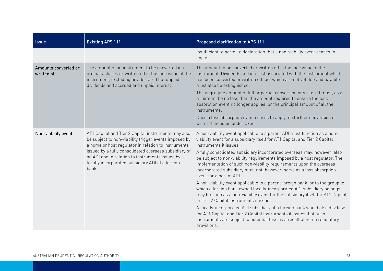| <b>Issue</b>                        | <b>Existing APS 111</b>                                                                                                                                                                                                                                                                                                                        | <b>Proposed clarification to APS 111</b>                                                                                                                                                                                                                                                                                                                                                                                                                                                                                                                                                                                                                                                                                                                                                                                                                                                                                                                                                                                                                        |
|-------------------------------------|------------------------------------------------------------------------------------------------------------------------------------------------------------------------------------------------------------------------------------------------------------------------------------------------------------------------------------------------|-----------------------------------------------------------------------------------------------------------------------------------------------------------------------------------------------------------------------------------------------------------------------------------------------------------------------------------------------------------------------------------------------------------------------------------------------------------------------------------------------------------------------------------------------------------------------------------------------------------------------------------------------------------------------------------------------------------------------------------------------------------------------------------------------------------------------------------------------------------------------------------------------------------------------------------------------------------------------------------------------------------------------------------------------------------------|
|                                     |                                                                                                                                                                                                                                                                                                                                                | insufficient to permit a declaration that a non-viability event ceases to<br>apply.                                                                                                                                                                                                                                                                                                                                                                                                                                                                                                                                                                                                                                                                                                                                                                                                                                                                                                                                                                             |
| Amounts converted or<br>written off | The amount of an instrument to be converted into<br>ordinary shares or written off is the face value of the<br>instrument, excluding any declared but unpaid<br>dividends and accrued and unpaid interest.                                                                                                                                     | The amount to be converted or written off is the face value of the<br>instrument. Dividends and interest associated with the instrument which<br>has been converted or written off, but which are not yet due and payable<br>must also be extinguished.<br>The aggregate amount of full or partial conversion or write-off must, as a<br>minimum, be no less than the amount required to ensure the loss<br>absorption event no longer applies; or the principal amount of all the<br>instruments.<br>Once a loss absorption event ceases to apply, no further conversion or<br>write-off need be undertaken.                                                                                                                                                                                                                                                                                                                                                                                                                                                   |
| Non-viability event                 | AT1 Capital and Tier 2 Capital instruments may also<br>be subject to non-viability trigger events imposed by<br>a home or host regulator in relation to instruments<br>issued by a fully consolidated overseas subsidiary of<br>an ADI and in relation to instruments issued by a<br>locally incorporated subsidiary ADI of a foreign<br>bank. | A non-viability event applicable to a parent ADI must function as a non-<br>viability event for a subsidiary itself for AT1 Capital and Tier 2 Capital<br>instruments it issues.<br>A fully consolidated subsidiary incorporated overseas may, however, also<br>be subject to non-viability requirements imposed by a host regulator. The<br>implementation of such non-viability requirements upon the overseas<br>incorporated subsidiary must not, however, serve as a loss absorption<br>event for a parent ADI.<br>A non-viability event applicable to a parent foreign bank, or to the group to<br>which a foreign bank owned locally-incorporated ADI subsidiary belongs,<br>may function as a non-viability event for the subsidiary itself for AT1 Capital<br>or Tier 2 Capital instruments it issues.<br>A locally-incorporated ADI subsidiary of a foreign bank would also disclose<br>for AT1 Capital and Tier 2 Capital instruments it issues that such<br>instruments are subject to potential loss as a result of home regulatory<br>provisions. |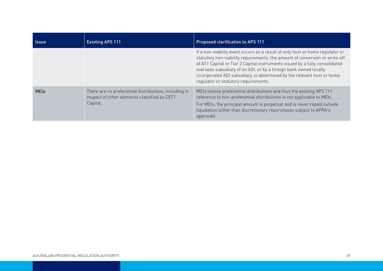| <b>Issue</b> | <b>Existing APS 111</b>                                                                                           | <b>Proposed clarification to APS 111</b>                                                                                                                                                                                                                                                                                                                                                                                            |
|--------------|-------------------------------------------------------------------------------------------------------------------|-------------------------------------------------------------------------------------------------------------------------------------------------------------------------------------------------------------------------------------------------------------------------------------------------------------------------------------------------------------------------------------------------------------------------------------|
|              |                                                                                                                   | If a non-viability event occurs as a result of only host or home regulator or<br>statutory non-viability requirements, the amount of conversion or write-off<br>of AT1 Capital or Tier 2 Capital instruments issued by a fully consolidated<br>overseas subsidiary of an ADI, or by a foreign bank owned locally<br>incorporated ADI subsidiary, is determined by the relevant host or home<br>regulator or statutory requirements. |
| <b>MEIs</b>  | There are no preferential distributions, including in<br>respect of other elements classified as CET1<br>Capital. | MEIs involve preferential distributions and thus the existing APS 111<br>reference to non-preferential distributions is not applicable to MEIs.<br>For MEIs, the principal amount is perpetual and is never repaid outside<br>liquidation (other than discretionary repurchases subject to APRA's<br>approval).                                                                                                                     |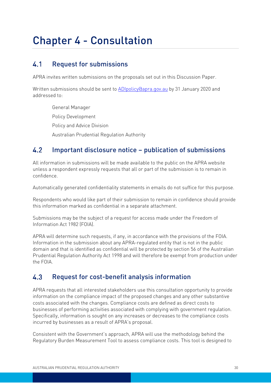# <span id="page-29-0"></span>Chapter 4 - Consultation

#### <span id="page-29-1"></span> $4.1$ Request for submissions

APRA invites written submissions on the proposals set out in this Discussion Paper.

Written submissions should be sent to [ADIpolicy@apra.gov.au](mailto:ADIpolicy@apra.gov.au) by 31 January 2020 and addressed to:

General Manager Policy Development Policy and Advice Division Australian Prudential Regulation Authority

#### <span id="page-29-2"></span> $4.2$ Important disclosure notice – publication of submissions

All information in submissions will be made available to the public on the APRA website unless a respondent expressly requests that all or part of the submission is to remain in confidence.

Automatically generated confidentiality statements in emails do not suffice for this purpose.

Respondents who would like part of their submission to remain in confidence should provide this information marked as confidential in a separate attachment.

Submissions may be the subject of a request for access made under the Freedom of Information Act 1982 (FOIA).

APRA will determine such requests, if any, in accordance with the provisions of the FOIA. Information in the submission about any APRA-regulated entity that is not in the public domain and that is identified as confidential will be protected by section 56 of the Australian Prudential Regulation Authority Act 1998 and will therefore be exempt from production under the FOIA.

#### <span id="page-29-3"></span> $4.3$ Request for cost-benefit analysis information

APRA requests that all interested stakeholders use this consultation opportunity to provide information on the compliance impact of the proposed changes and any other substantive costs associated with the changes. Compliance costs are defined as direct costs to businesses of performing activities associated with complying with government regulation. Specifically, information is sought on any increases or decreases to the compliance costs incurred by businesses as a result of APRA's proposal.

Consistent with the Government's approach, APRA will use the methodology behind the Regulatory Burden Measurement Tool to assess compliance costs. This tool is designed to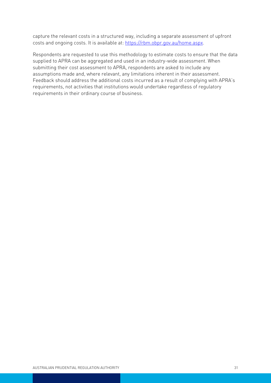capture the relevant costs in a structured way, including a separate assessment of upfront costs and ongoing costs. It is available at: [https://rbm.obpr.gov.au/home.aspx.](https://rbm.obpr.gov.au/home.aspx)

Respondents are requested to use this methodology to estimate costs to ensure that the data supplied to APRA can be aggregated and used in an industry-wide assessment. When submitting their cost assessment to APRA, respondents are asked to include any assumptions made and, where relevant, any limitations inherent in their assessment. Feedback should address the additional costs incurred as a result of complying with APRA's requirements, not activities that institutions would undertake regardless of regulatory requirements in their ordinary course of business.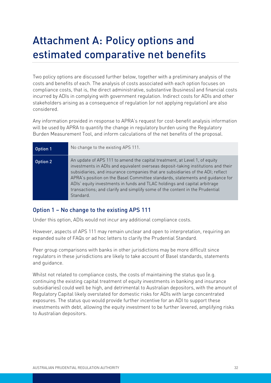# <span id="page-31-0"></span>Attachment A: Policy options and estimated comparative net benefits

Two policy options are discussed further below, together with a preliminary analysis of the costs and benefits of each. The analysis of costs associated with each option focuses on compliance costs, that is, the direct administrative, substantive (business) and financial costs incurred by ADIs in complying with government regulation. Indirect costs for ADIs and other stakeholders arising as a consequence of regulation (or not applying regulation) are also considered.

Any information provided in response to APRA's request for cost-benefit analysis information will be used by APRA to quantify the change in regulatory burden using the Regulatory Burden Measurement Tool, and inform calculations of the net benefits of the proposal.

| Option 1 | No change to the existing APS 111.                                                                                                                                                                                                                                                                                                                                                                                                                                                                            |
|----------|---------------------------------------------------------------------------------------------------------------------------------------------------------------------------------------------------------------------------------------------------------------------------------------------------------------------------------------------------------------------------------------------------------------------------------------------------------------------------------------------------------------|
| Option 2 | An update of APS 111 to amend the capital treatment, at Level 1, of equity<br>investments in ADIs and equivalent overseas deposit-taking institutions and their<br>subsidiaries, and insurance companies that are subsidiaries of the ADI; reflect<br>APRA's position on the Basel Committee standards, statements and quidance for<br>ADIs' equity investments in funds and TLAC holdings and capital arbitrage<br>transactions; and clarify and simplify some of the content in the Prudential<br>Standard. |

## Option 1 – No change to the existing APS 111

Under this option, ADIs would not incur any additional compliance costs.

However, aspects of APS 111 may remain unclear and open to interpretation, requiring an expanded suite of FAQs or ad hoc letters to clarify the Prudential Standard.

Peer group comparisons with banks in other jurisdictions may be more difficult since regulators in these jurisdictions are likely to take account of Basel standards, statements and guidance.

Whilst not related to compliance costs, the costs of maintaining the status quo (e.g. continuing the existing capital treatment of equity investments in banking and insurance subsidiaries) could well be high, and detrimental to Australian depositors, with the amount of Regulatory Capital likely overstated for domestic risks for ADIs with large concentrated exposures. The status quo would provide further incentive for an ADI to support these investments with debt, allowing the equity investment to be further levered, amplifying risks to Australian depositors.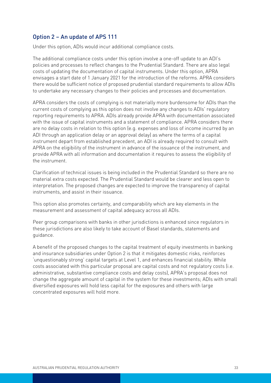## Option 2 – An update of APS 111

Under this option, ADIs would incur additional compliance costs.

The additional compliance costs under this option involve a one-off update to an ADI's policies and processes to reflect changes to the Prudential Standard. There are also legal costs of updating the documentation of capital instruments. Under this option, APRA envisages a start date of 1 January 2021 for the introduction of the reforms. APRA considers there would be sufficient notice of proposed prudential standard requirements to allow ADIs to undertake any necessary changes to their policies and processes and documentation.

APRA considers the costs of complying is not materially more burdensome for ADIs than the current costs of complying as this option does not involve any changes to ADIs' regulatory reporting requirements to APRA. ADIs already provide APRA with documentation associated with the issue of capital instruments and a statement of compliance. APRA considers there are no delay costs in relation to this option (e.g. expenses and loss of income incurred by an ADI through an application delay or an approval delay) as where the terms of a capital instrument depart from established precedent, an ADI is already required to consult with APRA on the eligibility of the instrument in advance of the issuance of the instrument, and provide APRA with all information and documentation it requires to assess the eligibility of the instrument.

Clarification of technical issues is being included in the Prudential Standard so there are no material extra costs expected. The Prudential Standard would be clearer and less open to interpretation. The proposed changes are expected to improve the transparency of capital instruments, and assist in their issuance.

This option also promotes certainty, and comparability which are key elements in the measurement and assessment of capital adequacy across all ADIs.

Peer group comparisons with banks in other jurisdictions is enhanced since regulators in these jurisdictions are also likely to take account of Basel standards, statements and guidance.

A benefit of the proposed changes to the capital treatment of equity investments in banking and insurance subsidiaries under Option 2 is that it mitigates domestic risks, reinforces 'unquestionably strong' capital targets at Level 1, and enhances financial stability. While costs associated with this particular proposal are capital costs and not regulatory costs (i.e. administrative, substantive compliance costs and delay costs), APRA's proposal does not change the aggregate amount of capital in the system for these investments; ADIs with small diversified exposures will hold less capital for the exposures and others with large concentrated exposures will hold more.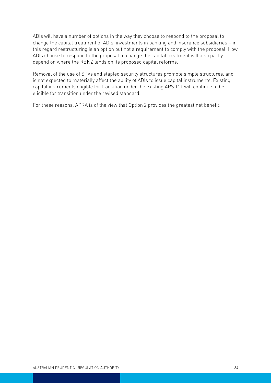ADIs will have a number of options in the way they choose to respond to the proposal to change the capital treatment of ADIs' investments in banking and insurance subsidiaries – in this regard restructuring is an option but not a requirement to comply with the proposal. How ADIs choose to respond to the proposal to change the capital treatment will also partly depend on where the RBNZ lands on its proposed capital reforms.

Removal of the use of SPVs and stapled security structures promote simple structures, and is not expected to materially affect the ability of ADIs to issue capital instruments. Existing capital instruments eligible for transition under the existing APS 111 will continue to be eligible for transition under the revised standard.

For these reasons, APRA is of the view that Option 2 provides the greatest net benefit.